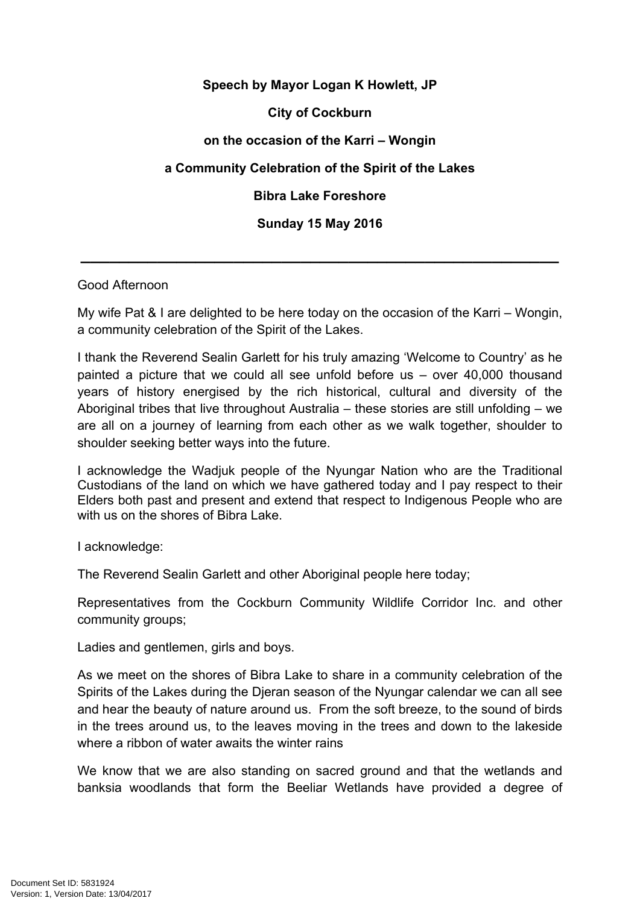## **Speech by Mayor Logan K Howlett, JP City of Cockburn on the occasion of the Karri – Wongin a Community Celebration of the Spirit of the Lakes Bibra Lake Foreshore Sunday 15 May 2016**

## Good Afternoon

My wife Pat & I are delighted to be here today on the occasion of the Karri – Wongin, a community celebration of the Spirit of the Lakes.

**\_\_\_\_\_\_\_\_\_\_\_\_\_\_\_\_\_\_\_\_\_\_\_\_\_\_\_\_\_\_\_\_\_\_\_\_\_\_\_\_\_\_\_\_\_\_\_\_\_\_**

I thank the Reverend Sealin Garlett for his truly amazing 'Welcome to Country' as he painted a picture that we could all see unfold before us – over 40,000 thousand years of history energised by the rich historical, cultural and diversity of the Aboriginal tribes that live throughout Australia – these stories are still unfolding – we are all on a journey of learning from each other as we walk together, shoulder to shoulder seeking better ways into the future.

I acknowledge the Wadjuk people of the Nyungar Nation who are the Traditional Custodians of the land on which we have gathered today and I pay respect to their Elders both past and present and extend that respect to Indigenous People who are with us on the shores of Bibra Lake.

I acknowledge:

The Reverend Sealin Garlett and other Aboriginal people here today;

Representatives from the Cockburn Community Wildlife Corridor Inc. and other community groups;

Ladies and gentlemen, girls and boys.

As we meet on the shores of Bibra Lake to share in a community celebration of the Spirits of the Lakes during the Djeran season of the Nyungar calendar we can all see and hear the beauty of nature around us. From the soft breeze, to the sound of birds in the trees around us, to the leaves moving in the trees and down to the lakeside where a ribbon of water awaits the winter rains

We know that we are also standing on sacred ground and that the wetlands and banksia woodlands that form the Beeliar Wetlands have provided a degree of